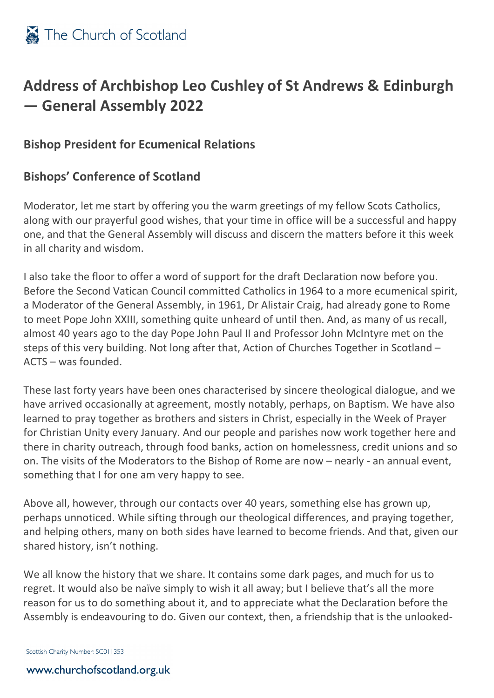

## **Address of Archbishop Leo Cushley of St Andrews & Edinburgh — General Assembly 2022**

## **Bishop President for Ecumenical Relations**

## **Bishops' Conference of Scotland**

Moderator, let me start by offering you the warm greetings of my fellow Scots Catholics, along with our prayerful good wishes, that your time in office will be a successful and happy one, and that the General Assembly will discuss and discern the matters before it this week in all charity and wisdom.

I also take the floor to offer a word of support for the draft Declaration now before you. Before the Second Vatican Council committed Catholics in 1964 to a more ecumenical spirit, a Moderator of the General Assembly, in 1961, Dr Alistair Craig, had already gone to Rome to meet Pope John XXIII, something quite unheard of until then. And, as many of us recall, almost 40 years ago to the day Pope John Paul II and Professor John McIntyre met on the steps of this very building. Not long after that, Action of Churches Together in Scotland – ACTS – was founded.

These last forty years have been ones characterised by sincere theological dialogue, and we have arrived occasionally at agreement, mostly notably, perhaps, on Baptism. We have also learned to pray together as brothers and sisters in Christ, especially in the Week of Prayer for Christian Unity every January. And our people and parishes now work together here and there in charity outreach, through food banks, action on homelessness, credit unions and so on. The visits of the Moderators to the Bishop of Rome are now – nearly - an annual event, something that I for one am very happy to see.

Above all, however, through our contacts over 40 years, something else has grown up, perhaps unnoticed. While sifting through our theological differences, and praying together, and helping others, many on both sides have learned to become friends. And that, given our shared history, isn't nothing.

We all know the history that we share. It contains some dark pages, and much for us to regret. It would also be naïve simply to wish it all away; but I believe that's all the more reason for us to do something about it, and to appreciate what the Declaration before the Assembly is endeavouring to do. Given our context, then, a friendship that is the unlooked-

Scottish Charity Number: SC011353